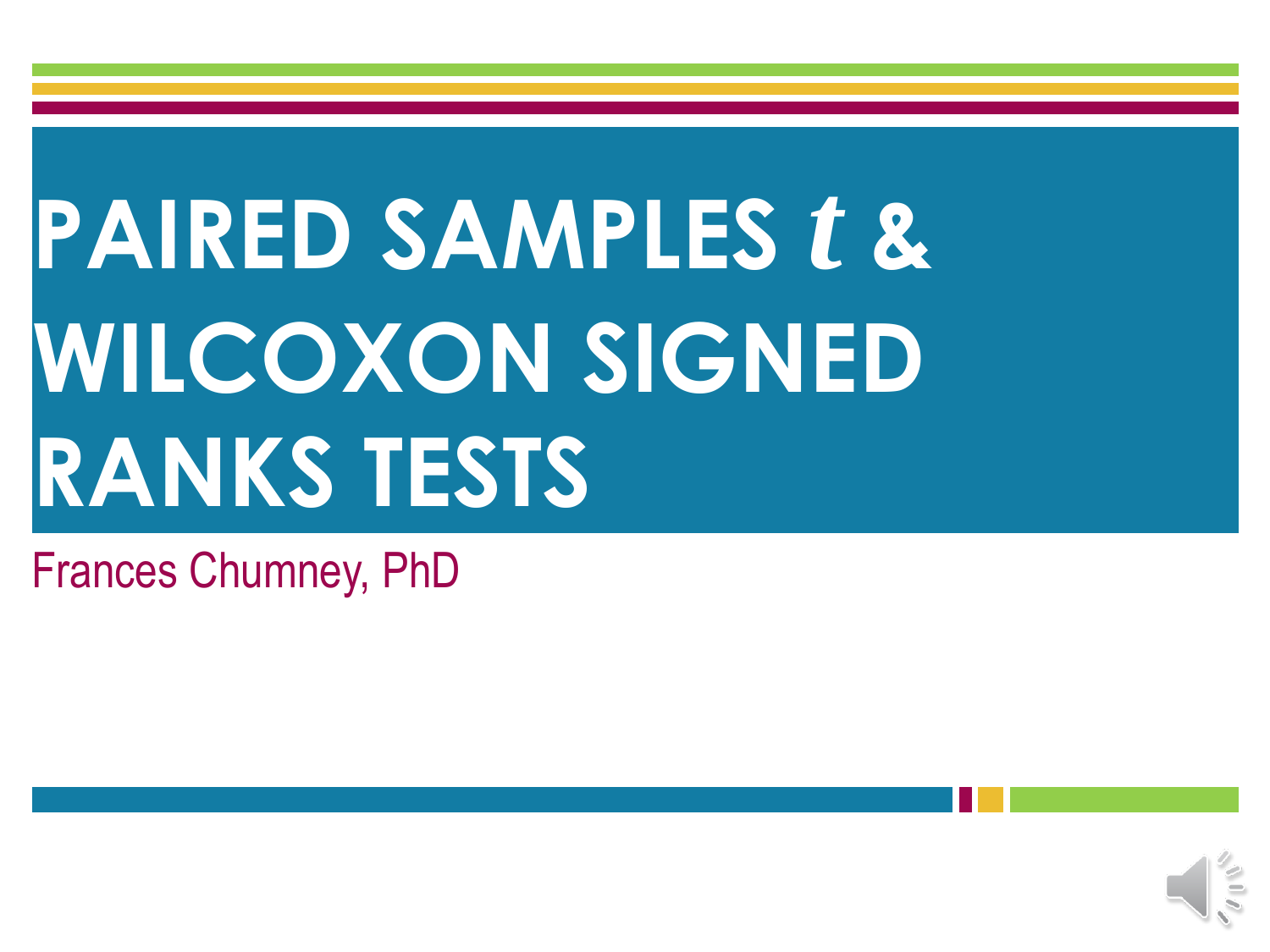# **PAIRED SAMPLES** *t* **& WILCOXON SIGNED RANKS TESTS**

### Frances Chumney, PhD

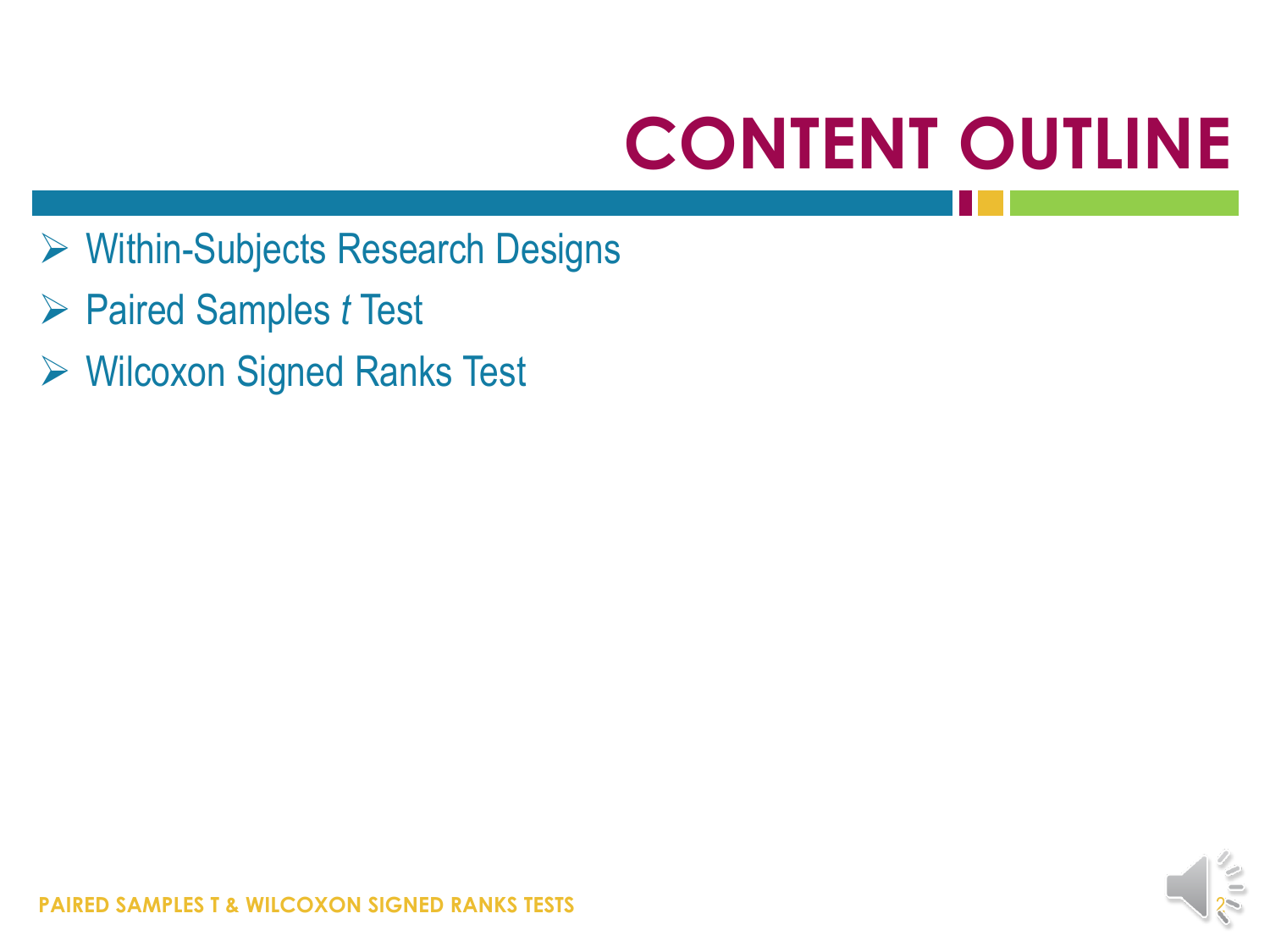## **CONTENT OUTLINE**

- Within-Subjects Research Designs
- Paired Samples *t* Test
- Wilcoxon Signed Ranks Test

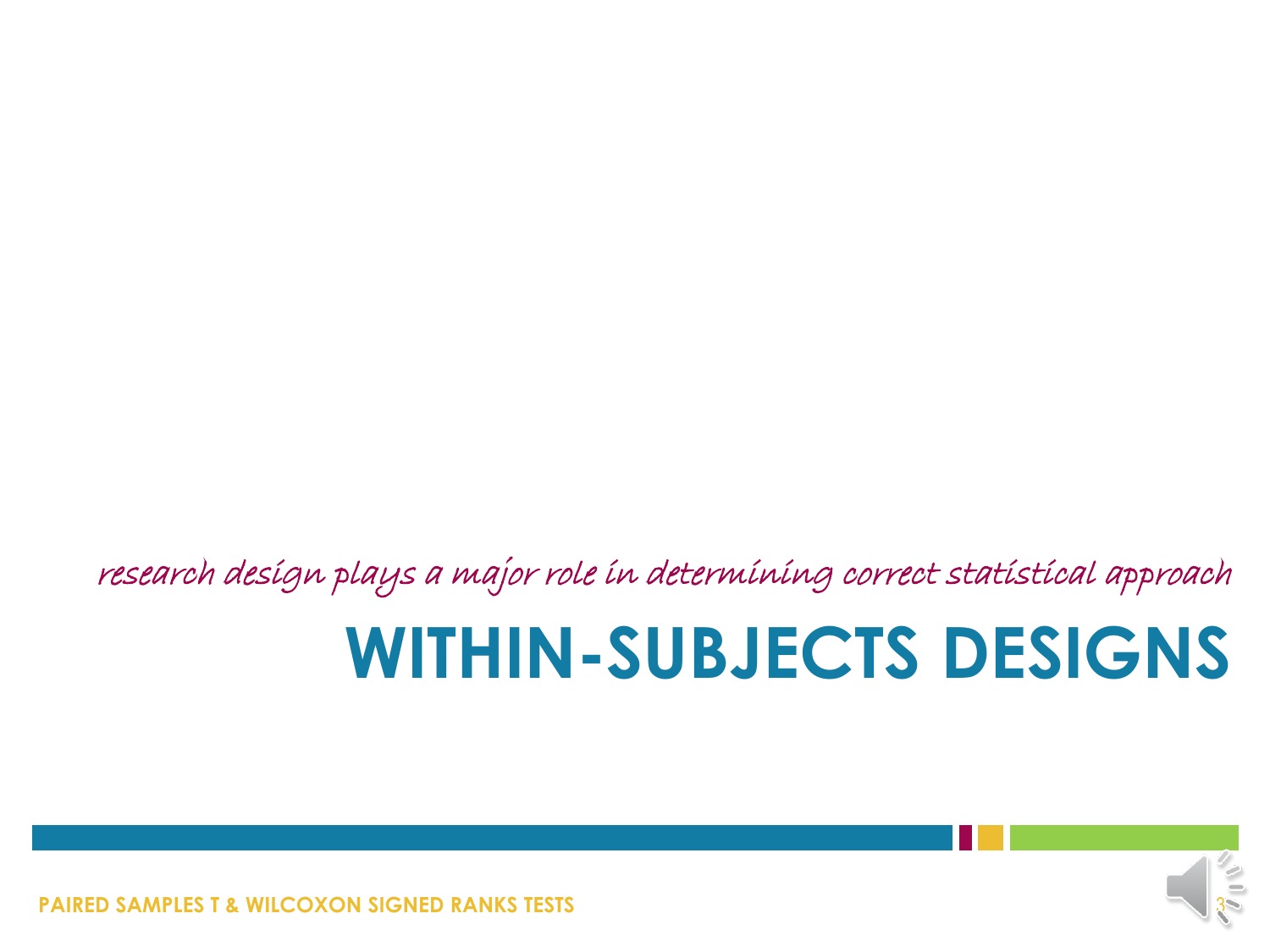research design plays a major role in determining correct statistical approach

### **WITHIN-SUBJECTS DESIGNS**



**PAIRED SAMPLES T & WILCOXON SIGNED RANKS TESTS**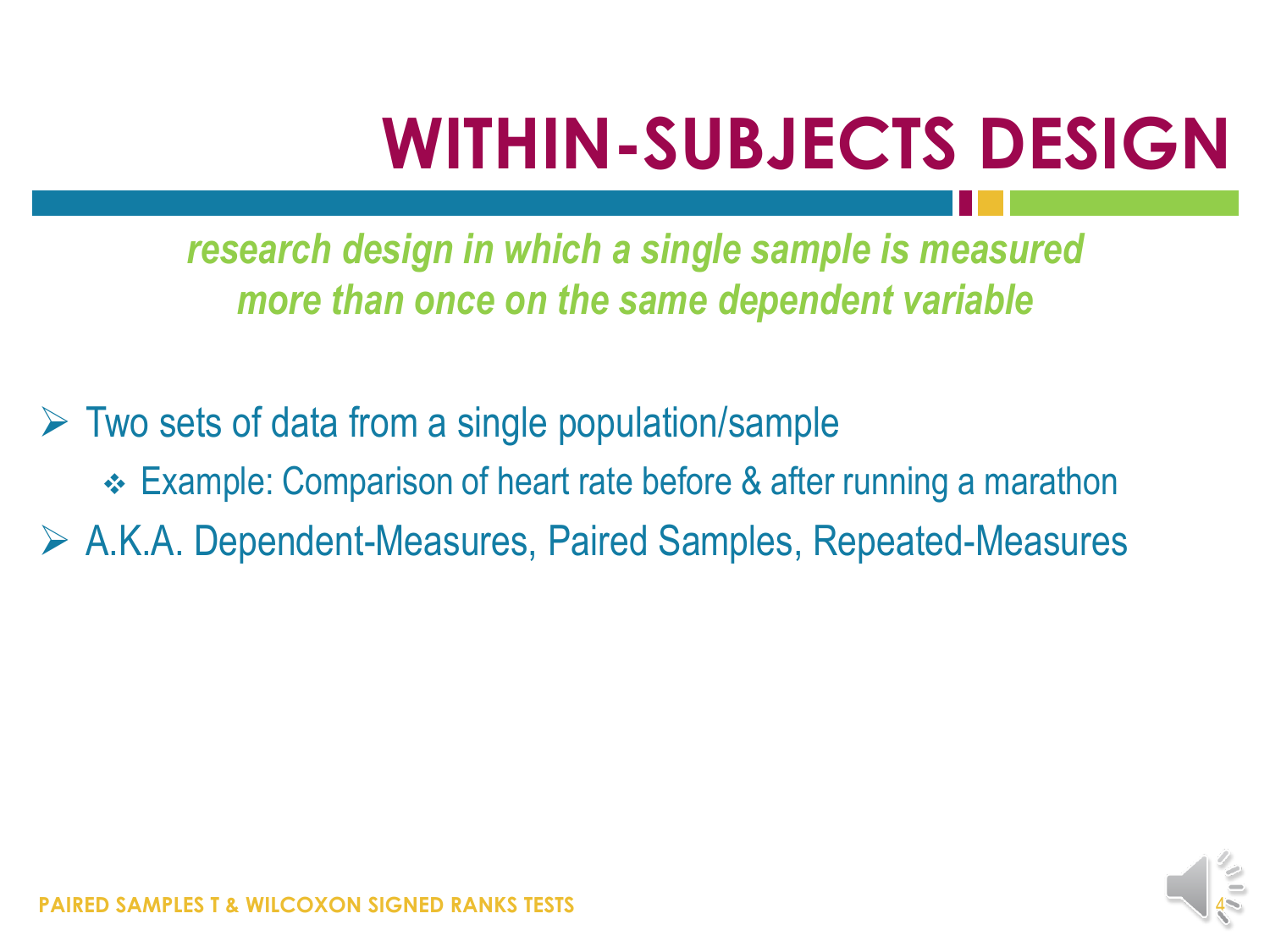## **WITHIN-SUBJECTS DESIGN**

*research design in which a single sample is measured more than once on the same dependent variable*

 $\triangleright$  Two sets of data from a single population/sample Example: Comparison of heart rate before & after running a marathon A.K.A. Dependent-Measures, Paired Samples, Repeated-Measures

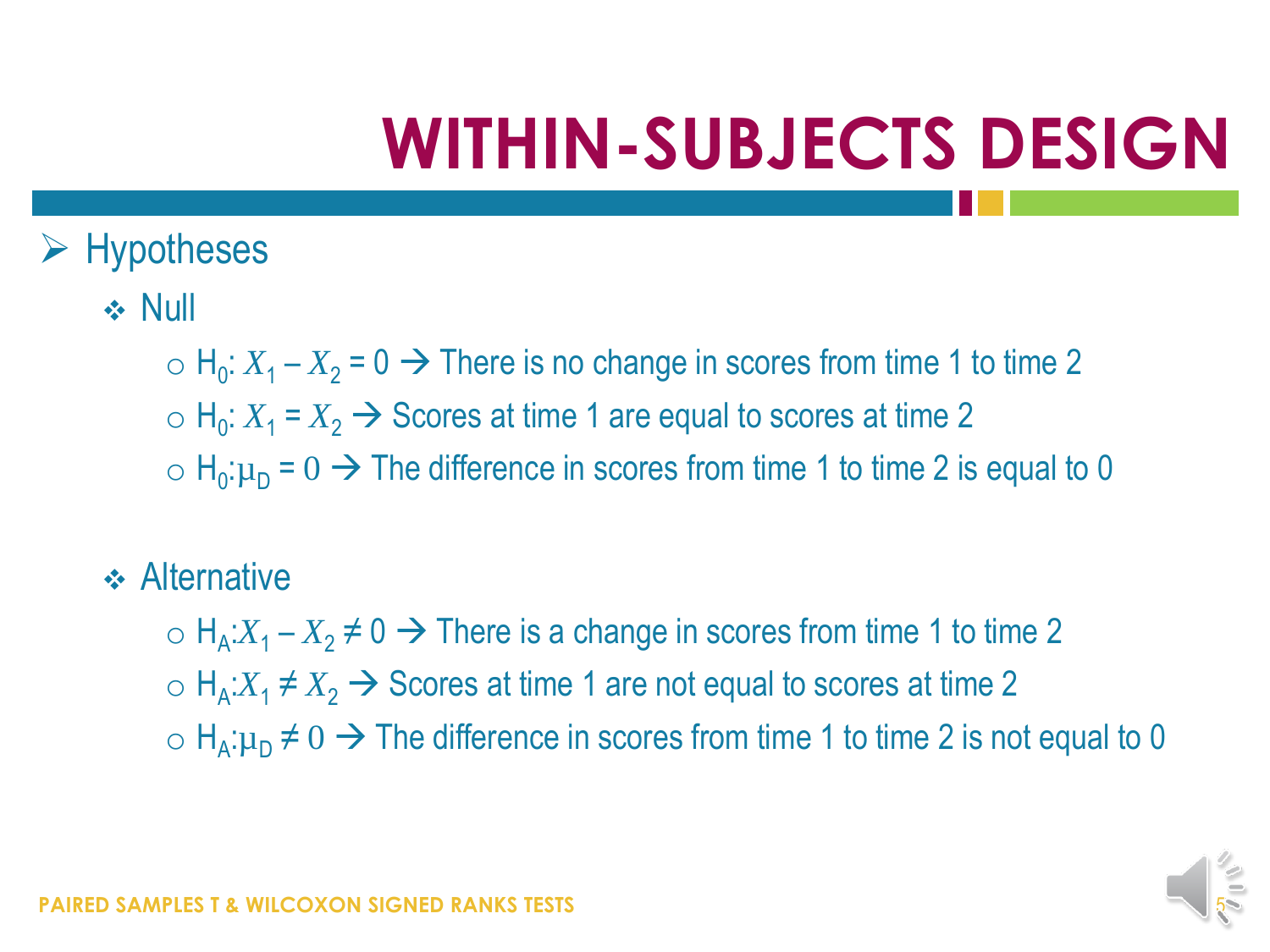## **WITHIN-SUBJECTS DESIGN**

- $\triangleright$  Hypotheses
	- $\div$  Null
		- $\circ$  H<sub>0</sub>:  $X_1 X_2 = 0 \rightarrow$  There is no change in scores from time 1 to time 2
		- $\circ$  H<sub>0</sub>:  $X_1 = X_2 \rightarrow$  Scores at time 1 are equal to scores at time 2
		- $\sigma$  H<sub>0</sub>: $\mu$ <sub>D</sub> = 0  $\rightarrow$  The difference in scores from time 1 to time 2 is equal to 0
	- **↑ Alternative** 
		- $H_A$ : $X_1 X_2 \neq 0$  → There is a change in scores from time 1 to time 2
		- $H_A$ : $X_1 \neq X_2$  → Scores at time 1 are not equal to scores at time 2
		- o H<sub>A</sub>: $\mu$ <sub>D</sub> ≠ 0 → The difference in scores from time 1 to time 2 is not equal to 0

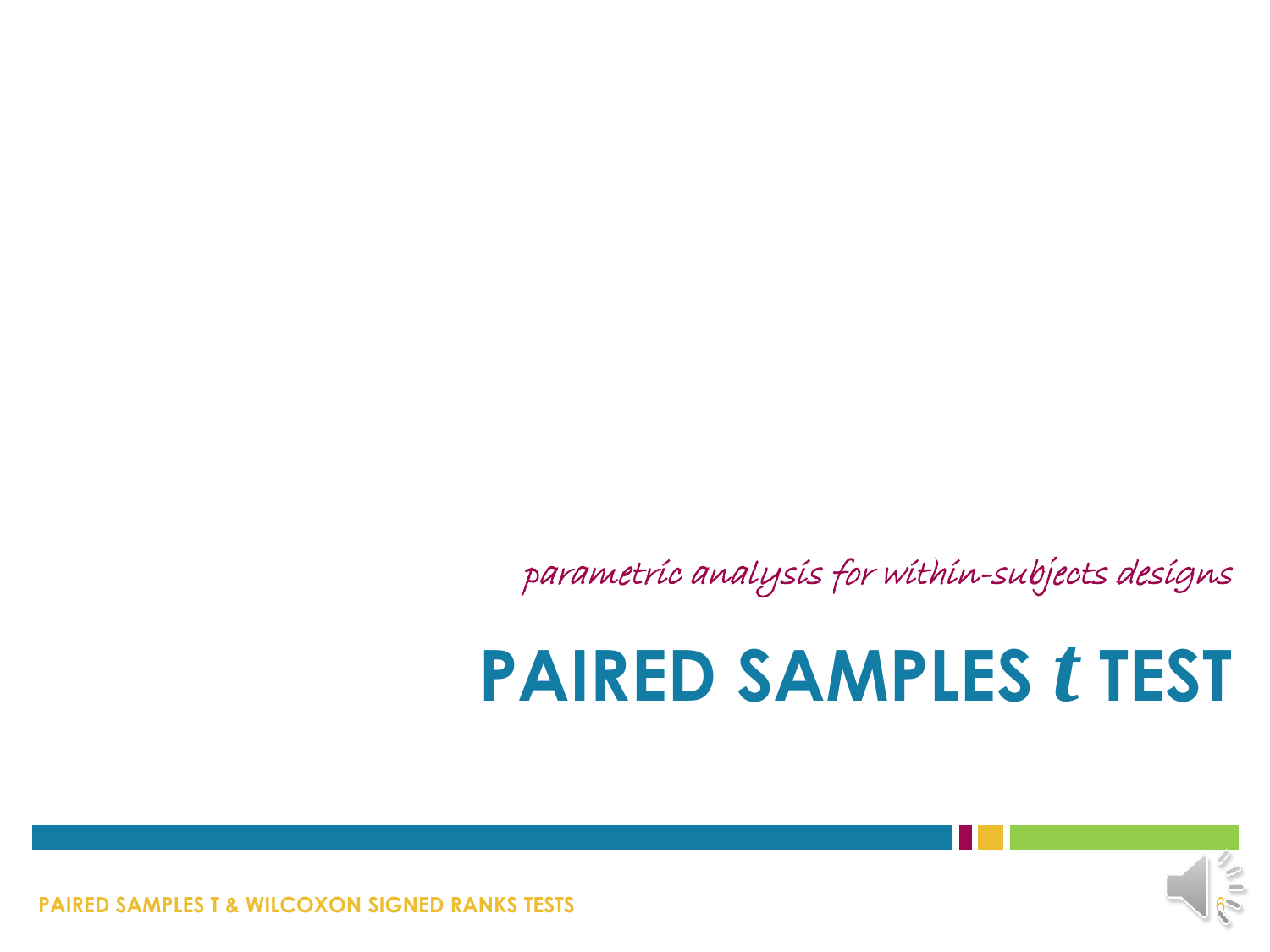**PAIRED SAMPLES T & WILCOXON SIGNED RANKS TESTS** 



### **PAIRED SAMPLES** *t* **TEST**

parametric analysis for within-subjects designs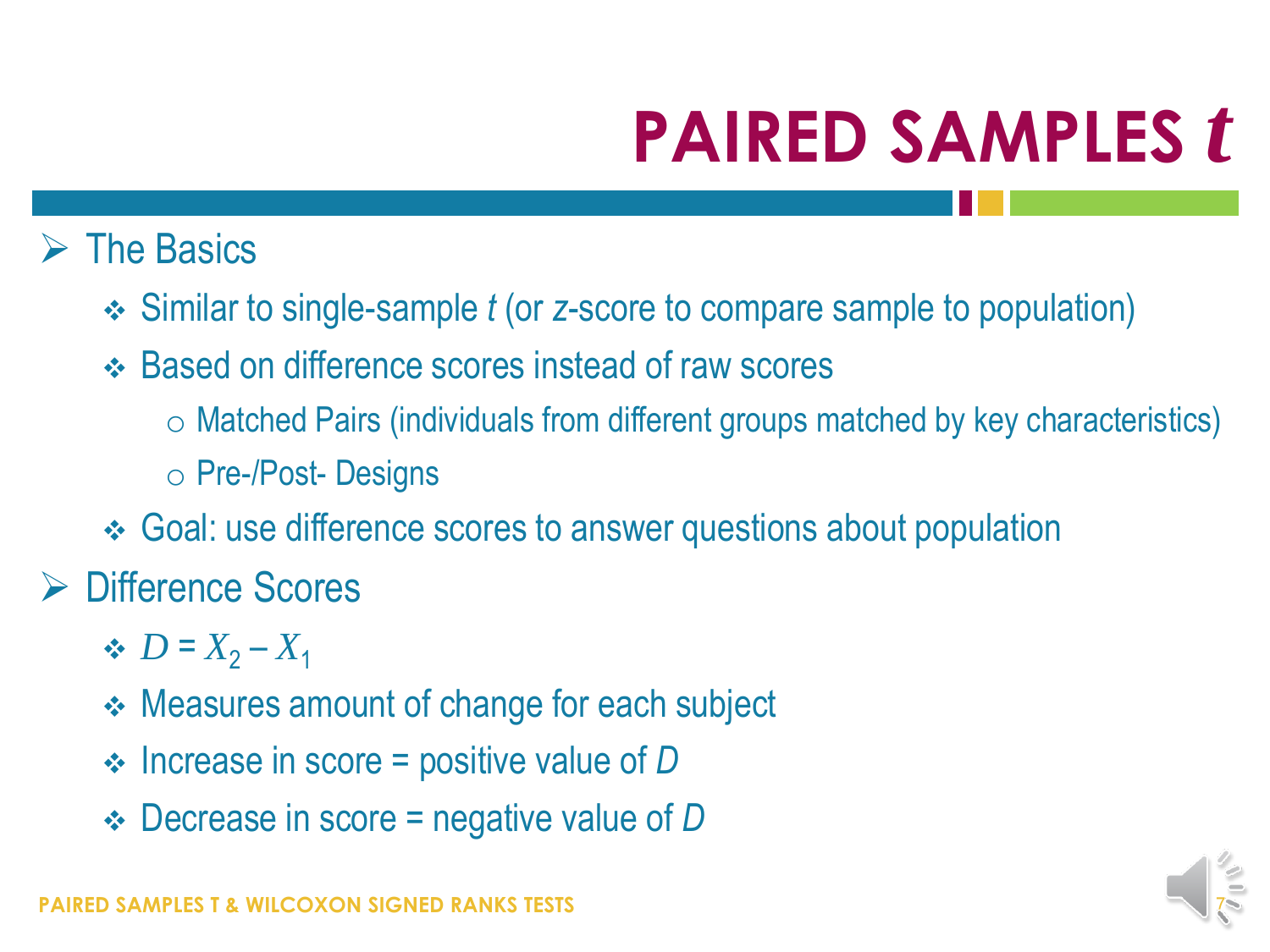### $\triangleright$  The Basics

- Similar to single-sample *t* (or *z*-score to compare sample to population)
- Based on difference scores instead of raw scores
	- o Matched Pairs (individuals from different groups matched by key characteristics)
	- o Pre-/Post- Designs
- Goal: use difference scores to answer questions about population

### **► Difference Scores**

- $\bullet$  *D* =  $X_2 X_1$
- **↑ Measures amount of change for each subject**
- Increase in score = positive value of *D*
- Decrease in score = negative value of *D*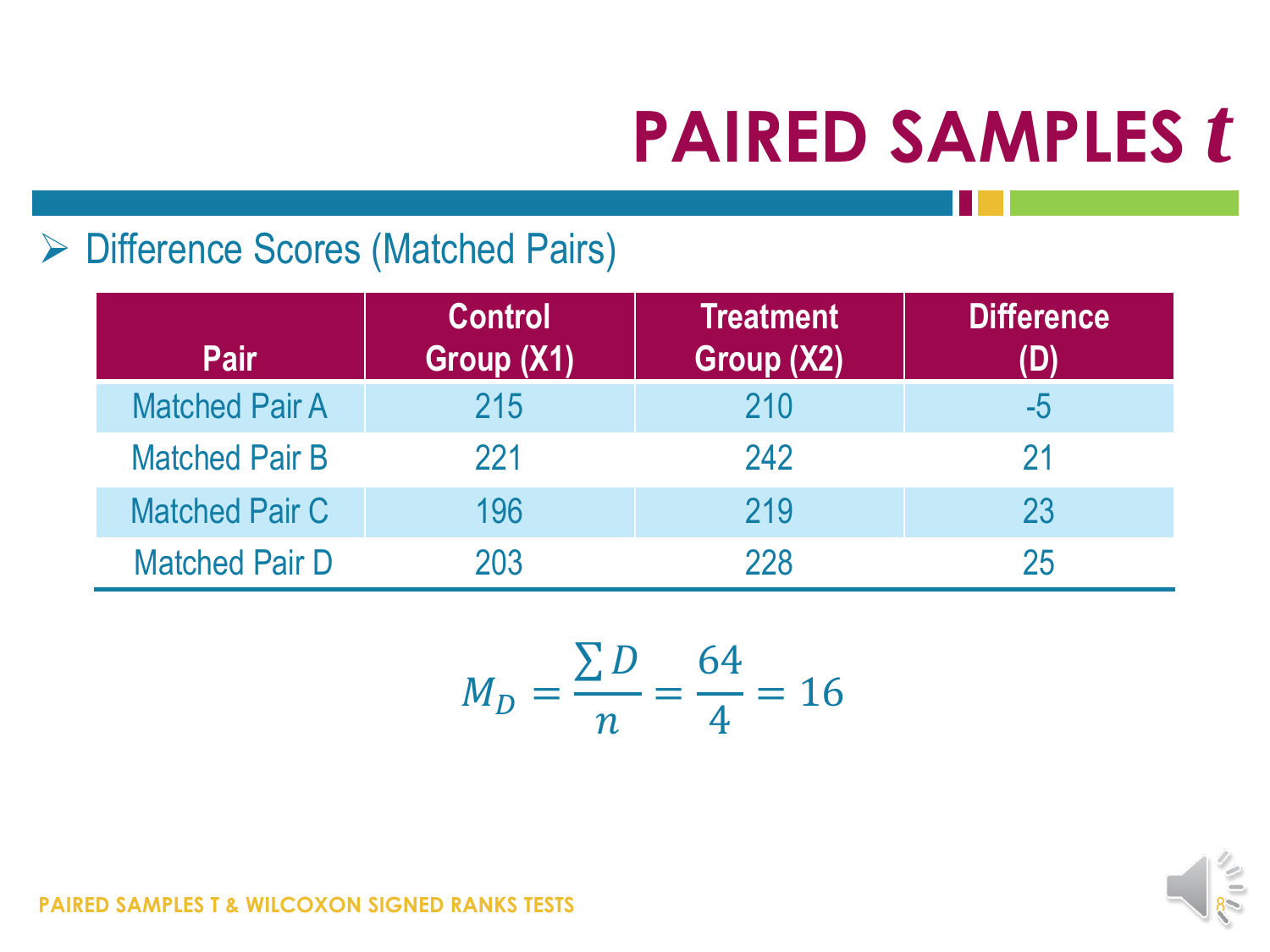### ▶ Difference Scores (Matched Pairs)

| <b>Pair</b>           | <b>Control</b><br>Group (X1) | <b>Treatment</b><br>Group (X2) | <b>Difference</b> |
|-----------------------|------------------------------|--------------------------------|-------------------|
| <b>Matched Pair A</b> | 215                          | 210                            | $-5$              |
| <b>Matched Pair B</b> | 221                          | 242                            | 21                |
| <b>Matched Pair C</b> | 196                          | 219                            | 23                |
| <b>Matched Pair D</b> | 203                          | 228                            | 25                |

$$
M_D = \frac{\sum D}{n} = \frac{64}{4} = 16
$$

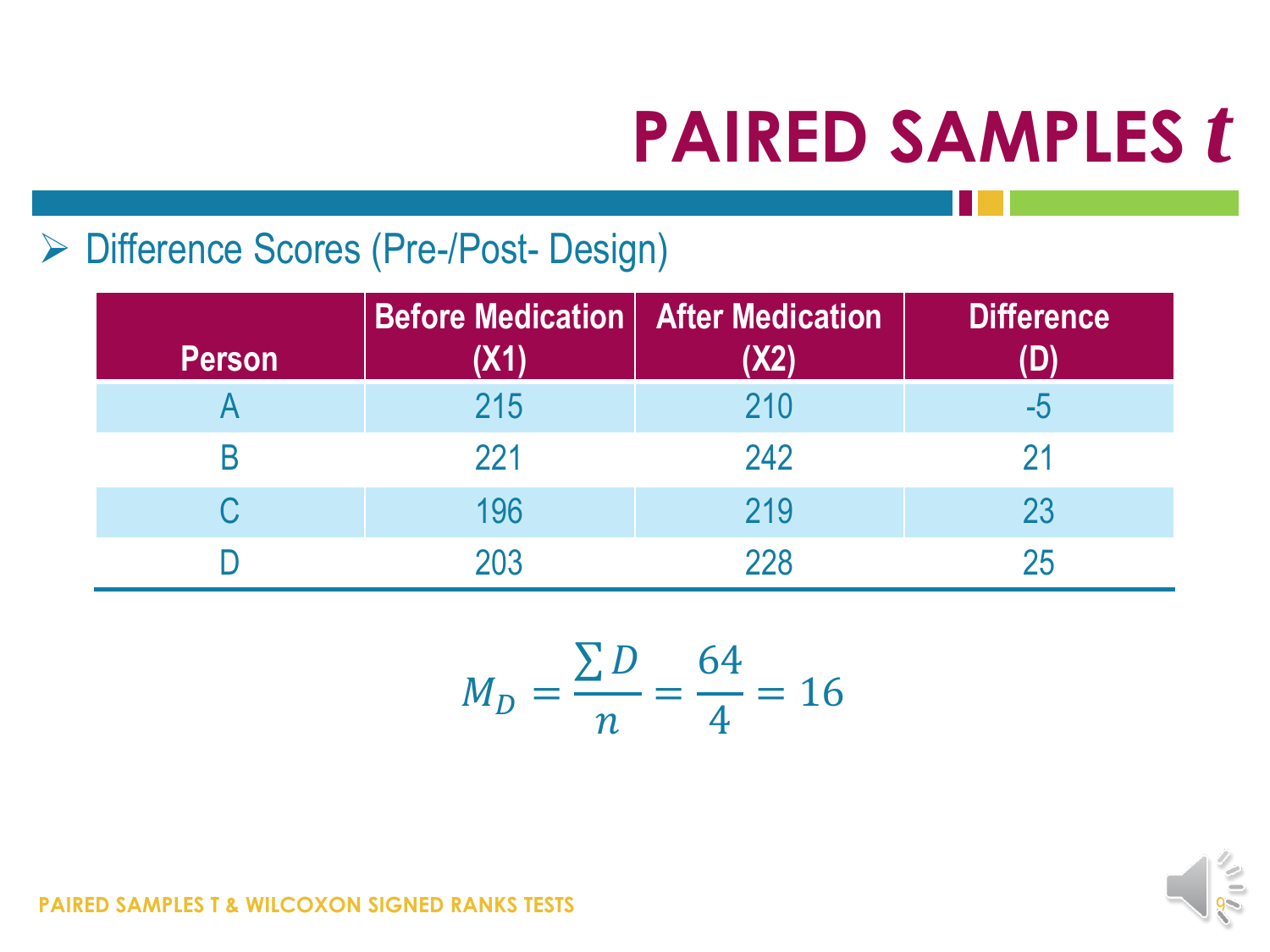### ▶ Difference Scores (Pre-/Post- Design)

| <b>Person</b> | <b>Before Medication   After Medication</b><br>(X1) | <b>X2</b> | <b>Difference</b> |
|---------------|-----------------------------------------------------|-----------|-------------------|
|               | 215                                                 | 210       | -5                |
| B             | 221                                                 | 242       |                   |
|               | 196                                                 | 219       | 23                |
|               | 203                                                 | 228       | 25                |

$$
M_D = \frac{\sum D}{n} = \frac{64}{4} = 16
$$

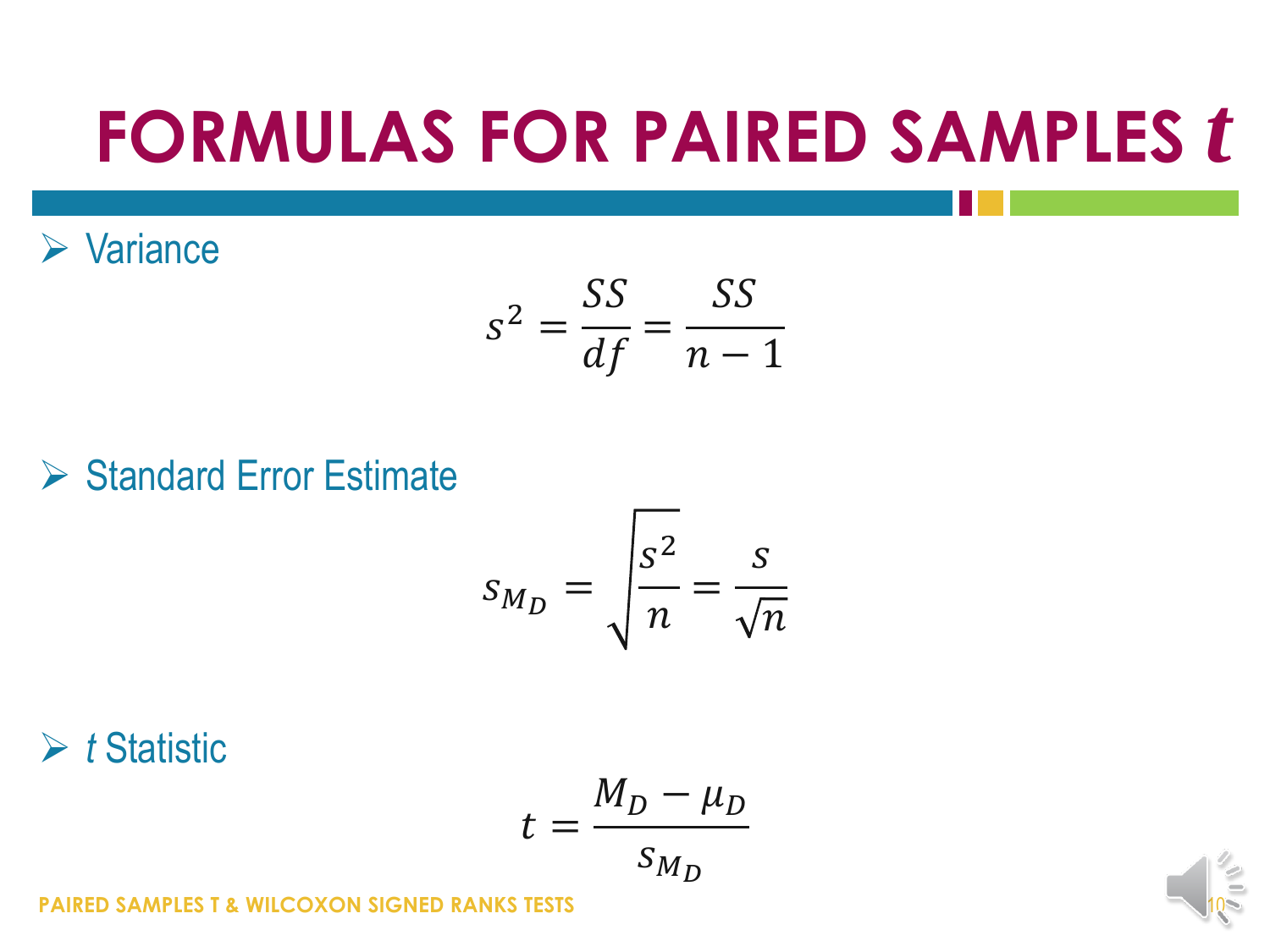## **FORMULAS FOR PAIRED SAMPLES** *t*

 $\triangleright$  Variance

$$
s^2 = \frac{SS}{df} = \frac{SS}{n-1}
$$

 $\triangleright$  Standard Error Estimate

$$
S_{M_D} = \sqrt{\frac{s^2}{n}} = \frac{s}{\sqrt{n}}
$$

**►** *t* Statistic

$$
t = \frac{M_D - \mu_D}{s_{M_D}}
$$

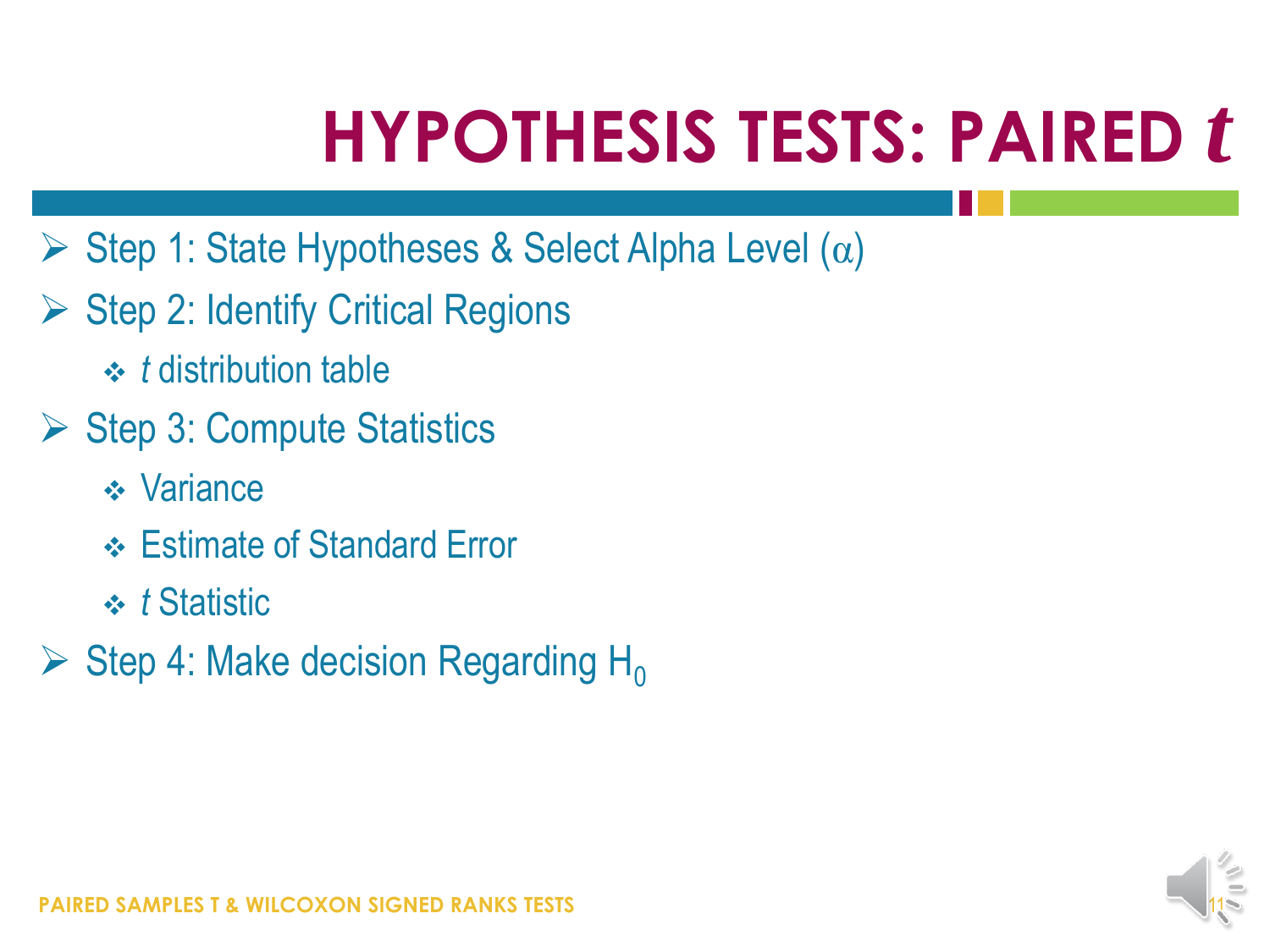## **HYPOTHESIS TESTS: PAIRED** *t*

- $\triangleright$  Step 1: State Hypotheses & Select Alpha Level ( $\alpha$ )
- $\triangleright$  Step 2: Identify Critical Regions
	- *t* distribution table
- ▶ Step 3: Compute Statistics
	- **❖** Variance
	- Estimate of Standard Error
	- *t* Statistic
- $\triangleright$  Step 4: Make decision Regarding H<sub>0</sub>

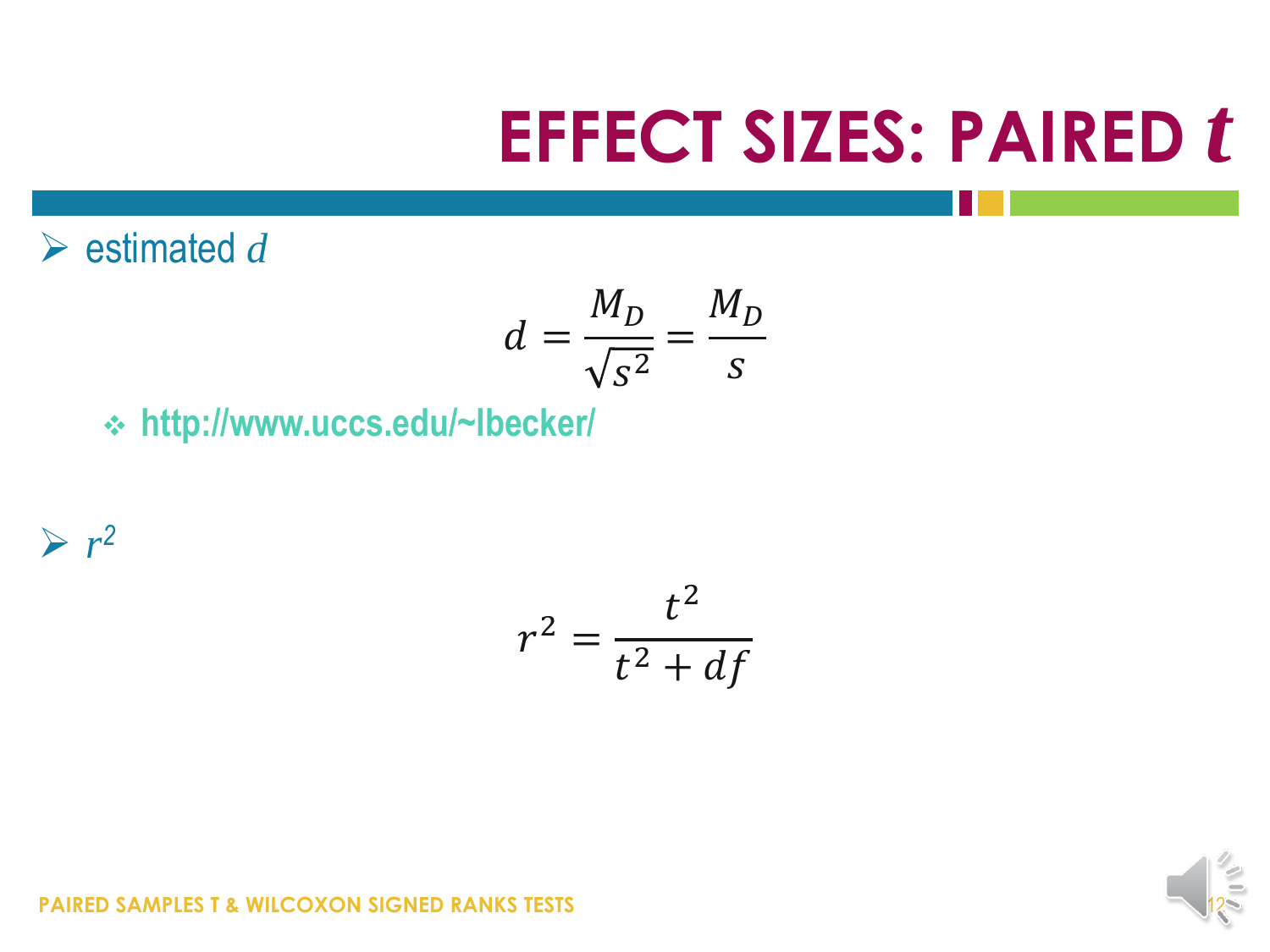## **EFFECT SIZES: PAIRED** *t*

 $\triangleright$  estimated *d* 

$$
d = \frac{M_D}{\sqrt{S^2}} = \frac{M_D}{S}
$$

**http://www.uccs.edu/~lbecker/**

 $\triangleright$   $r^2$ 

$$
r^2 = \frac{t^2}{t^2 + df}
$$

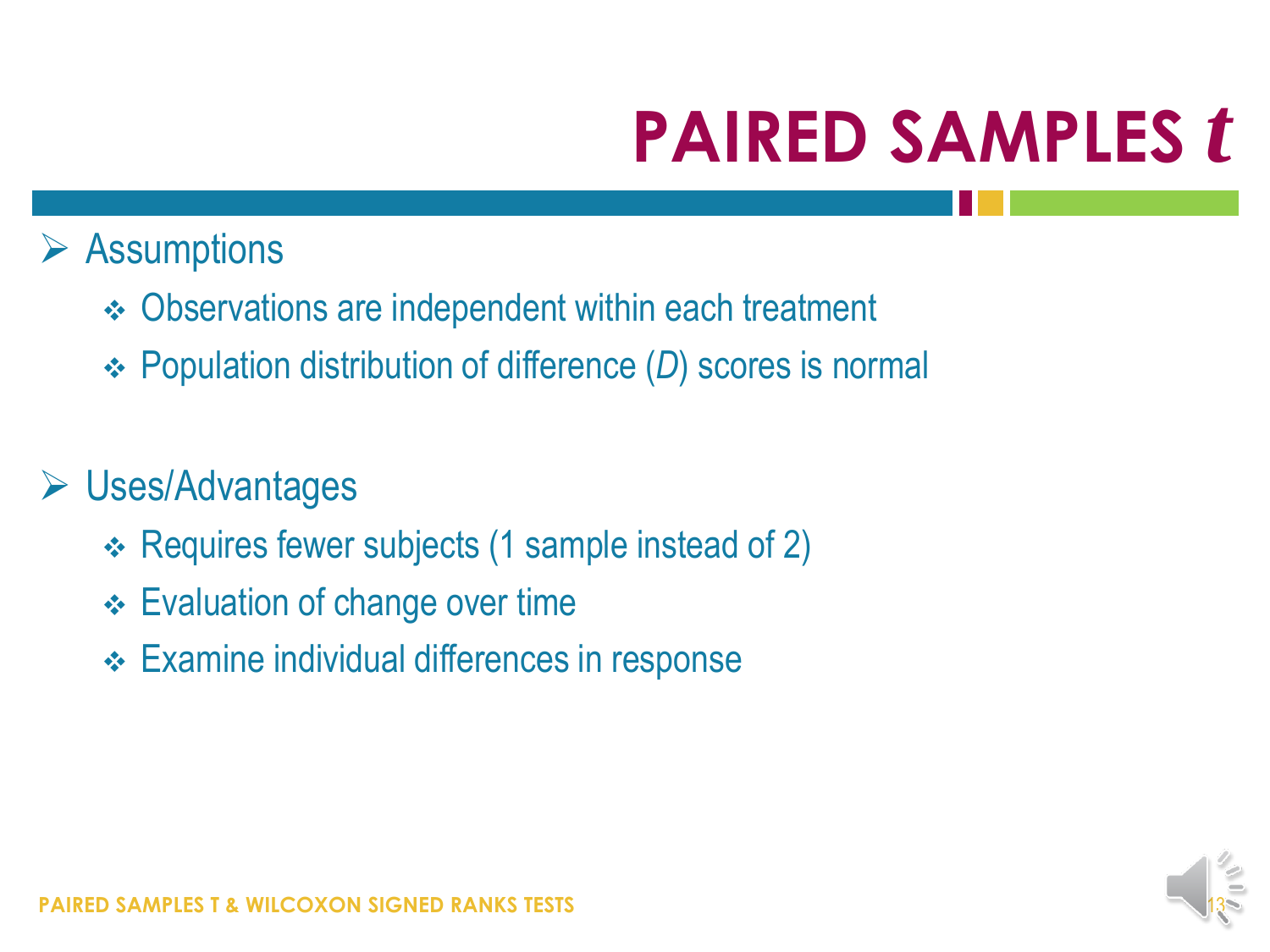### $\triangleright$  Assumptions

- Observations are independent within each treatment
- Population distribution of difference (*D*) scores is normal

### Uses/Advantages

- Requires fewer subjects (1 sample instead of 2)
- Evaluation of change over time
- **← Examine individual differences in response**

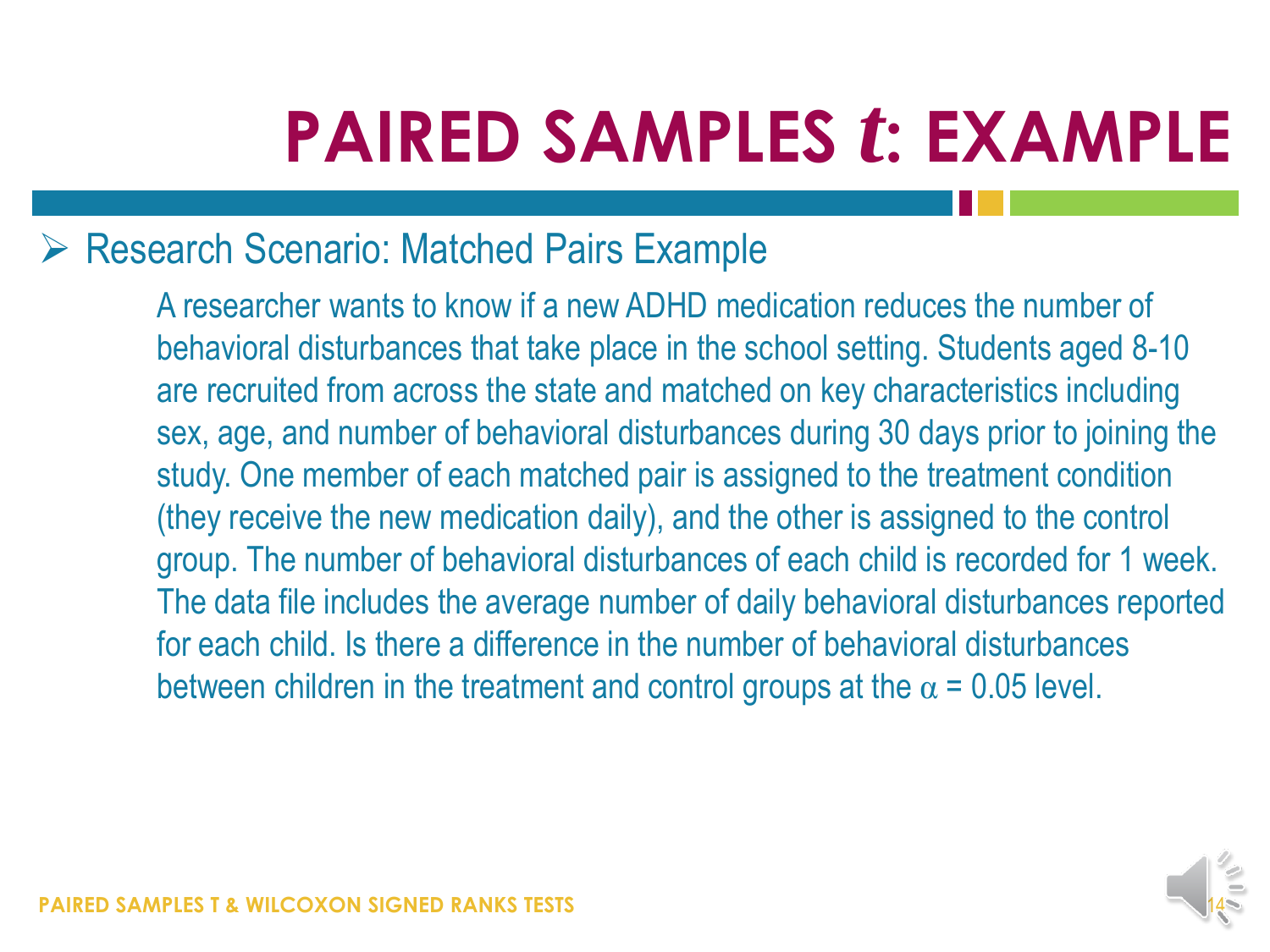### Research Scenario: Matched Pairs Example

A researcher wants to know if a new ADHD medication reduces the number of behavioral disturbances that take place in the school setting. Students aged 8-10 are recruited from across the state and matched on key characteristics including sex, age, and number of behavioral disturbances during 30 days prior to joining the study. One member of each matched pair is assigned to the treatment condition (they receive the new medication daily), and the other is assigned to the control group. The number of behavioral disturbances of each child is recorded for 1 week. The data file includes the average number of daily behavioral disturbances reported for each child. Is there a difference in the number of behavioral disturbances between children in the treatment and control groups at the  $\alpha$  = 0.05 level.

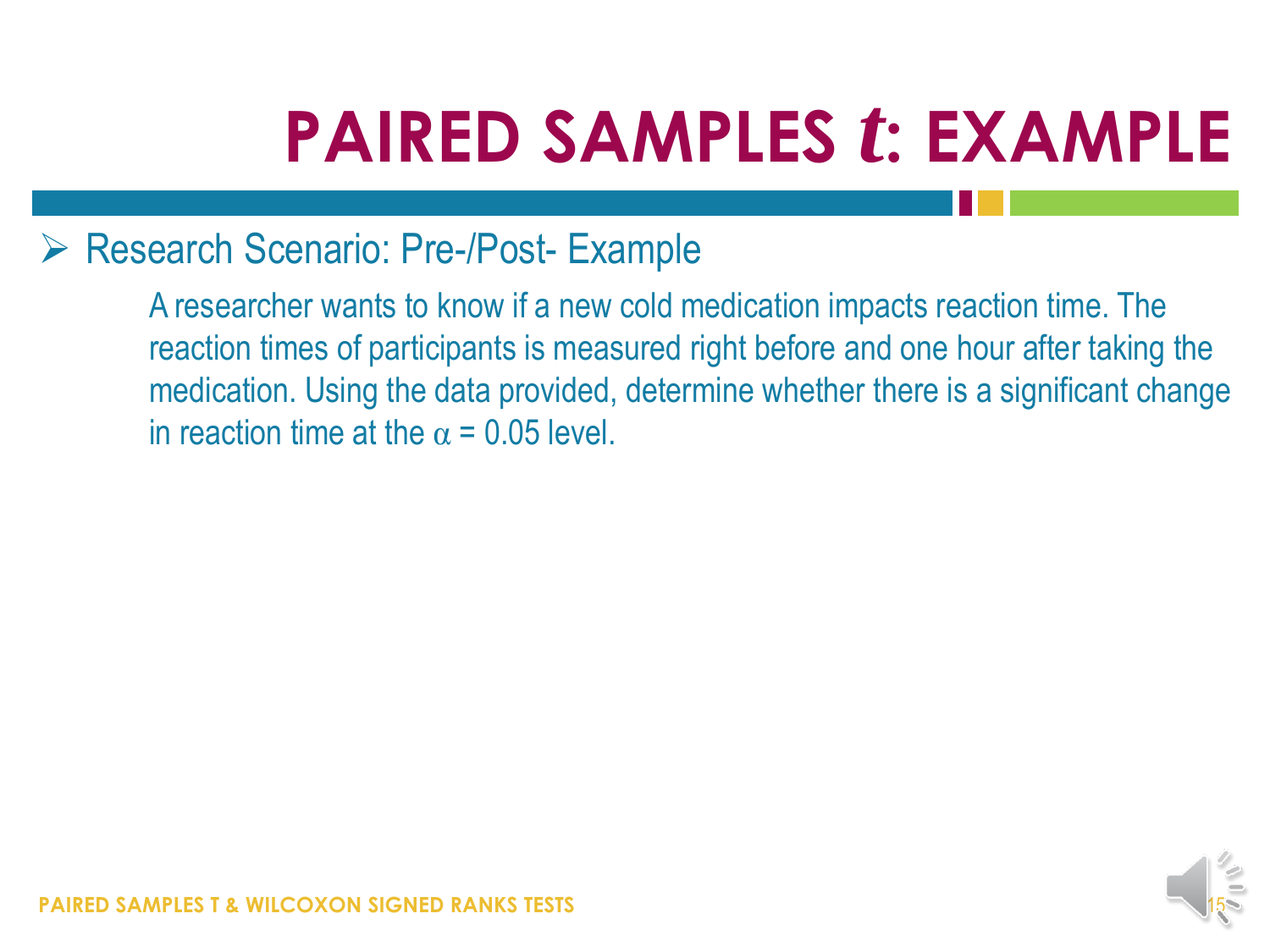### ▶ Research Scenario: Pre-/Post- Example

A researcher wants to know if a new cold medication impacts reaction time. The reaction times of participants is measured right before and one hour after taking the medication. Using the data provided, determine whether there is a significant change in reaction time at the  $\alpha$  = 0.05 level.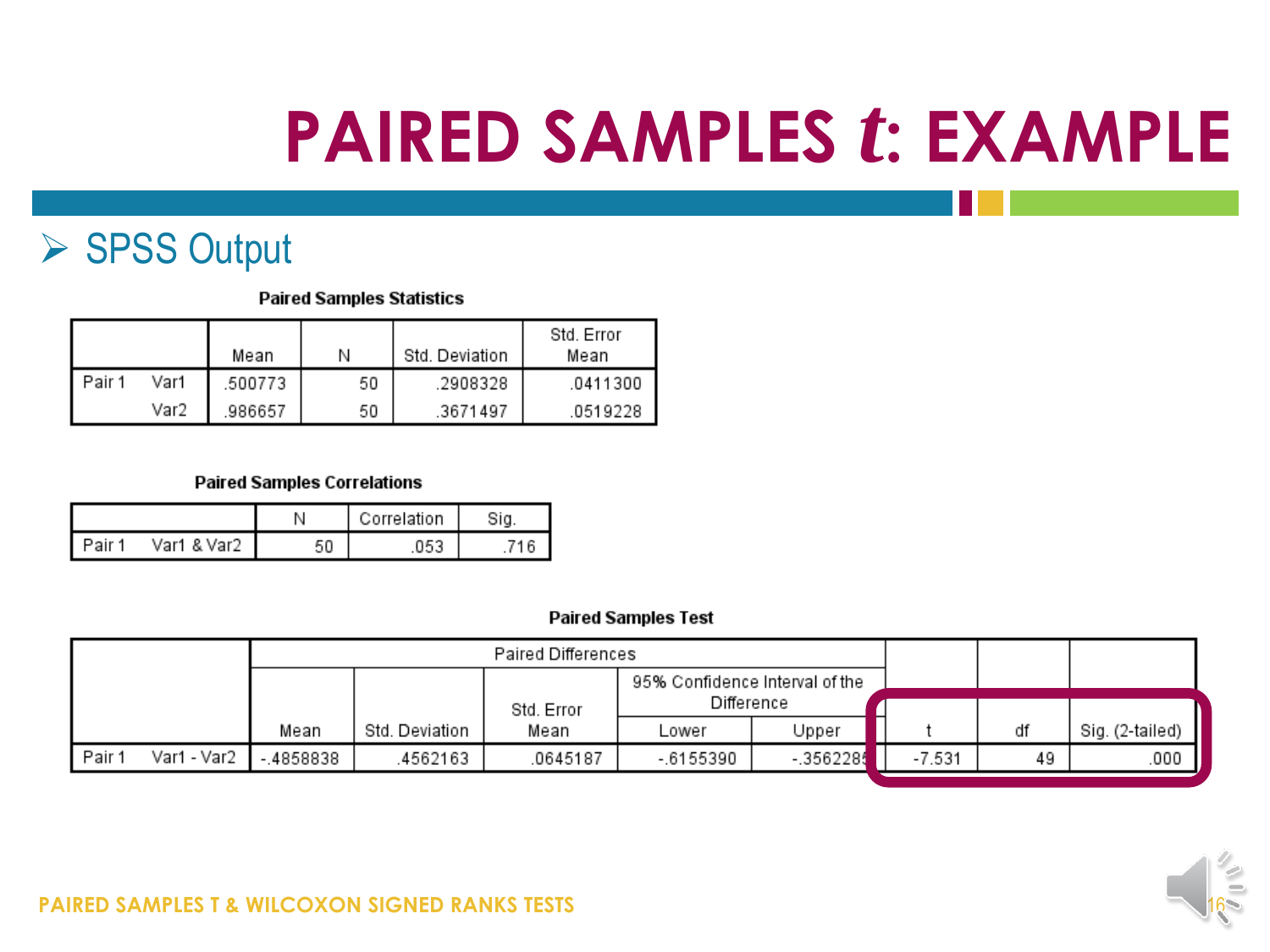### ▶ SPSS Output

#### **Paired Samples Statistics**

|        |      | Mean    | Ν  | Std. Deviation | Std. Error<br>Mean |
|--------|------|---------|----|----------------|--------------------|
| Pair 1 | Var1 | .500773 | 50 | .2908328       | .0411300           |
|        | Var2 | .986657 | 50 | .3671497       | .0519228           |

#### **Paired Samples Correlations**

|          |             |    | Correlation |  |  |
|----------|-------------|----|-------------|--|--|
| . Pair ' | Var1 & Var2 | 50 | 053         |  |  |

#### **Paired Samples Test**

|                     | Paired Differences |                |            |                                |            |          |    |                 |
|---------------------|--------------------|----------------|------------|--------------------------------|------------|----------|----|-----------------|
|                     |                    |                |            | 95% Confidence Interval of the |            |          |    |                 |
|                     |                    |                | Std. Error | Difference                     |            |          |    |                 |
|                     | Mean               | Std. Deviation | Mean       | Lower                          | Upper      |          | df | Sig. (2-tailed) |
| Var1 - Var2<br>Pair | $-.4858838$        | 4562163        | 0645187    | $-6155390$                     | $-3562285$ | $-7.531$ | 49 | .000            |



#### **PAIRED SAMPLES T & WILCOXON SIGNED RANKS TESTS**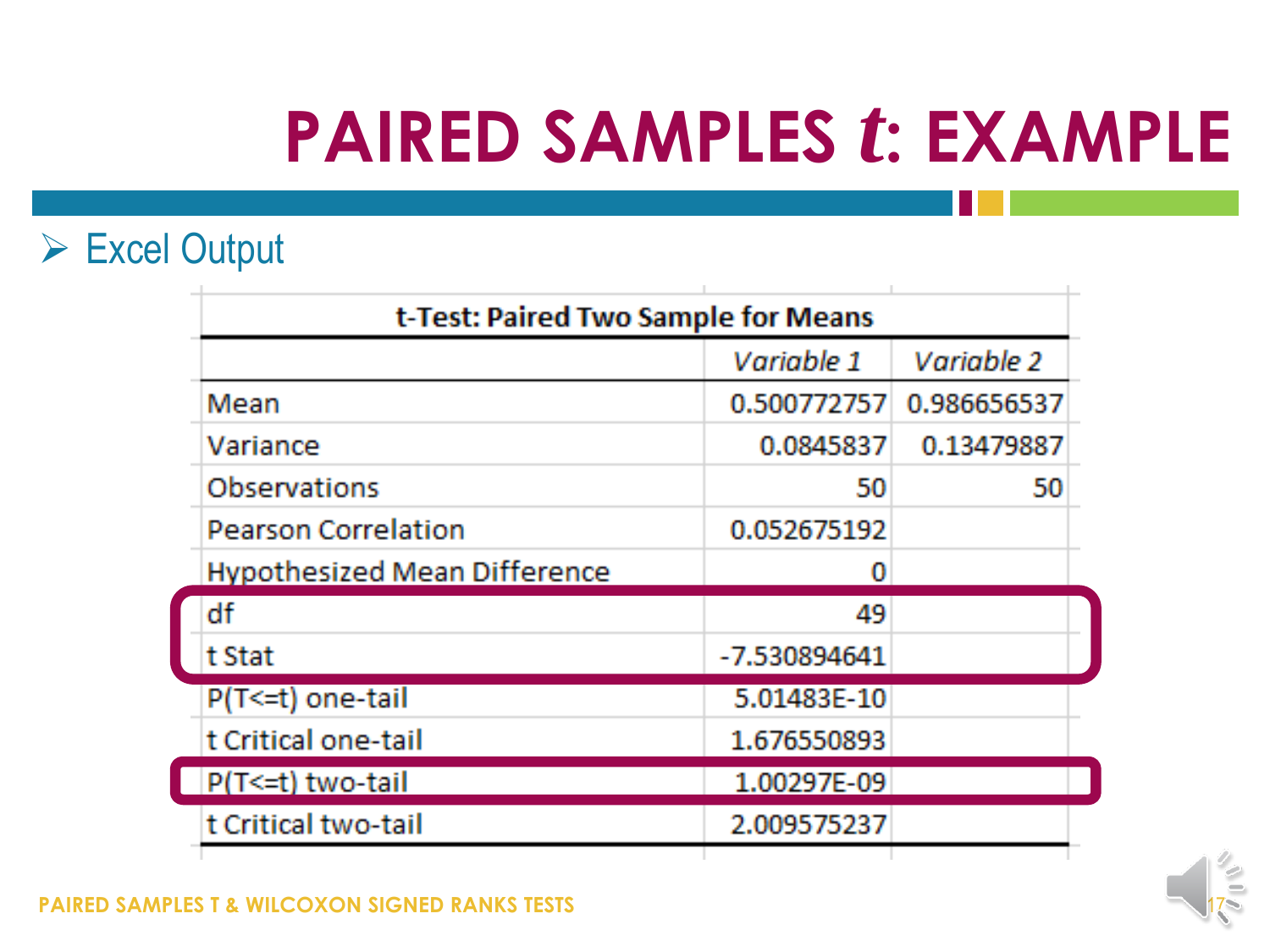### Excel Output

| t-Test: Paired Two Sample for Means |              |             |  |  |  |  |
|-------------------------------------|--------------|-------------|--|--|--|--|
|                                     | Variable 1   | Variable 2  |  |  |  |  |
| Mean                                | 0.500772757  | 0.986656537 |  |  |  |  |
| Variance                            | 0.0845837    | 0.13479887  |  |  |  |  |
| Observations                        | 50           | 50          |  |  |  |  |
| <b>Pearson Correlation</b>          | 0.052675192  |             |  |  |  |  |
| <b>Hypothesized Mean Difference</b> |              |             |  |  |  |  |
| df                                  | 49           |             |  |  |  |  |
| t Stat                              | -7.530894641 |             |  |  |  |  |
| $P(T \le t)$ one-tail               | 5.01483E-10  |             |  |  |  |  |
| t Critical one-tail                 | 1.676550893  |             |  |  |  |  |
| P(T<=t) two-tail                    | 1.00297E-09  |             |  |  |  |  |
| t Critical two-tail                 | 2.009575237  |             |  |  |  |  |
|                                     |              |             |  |  |  |  |

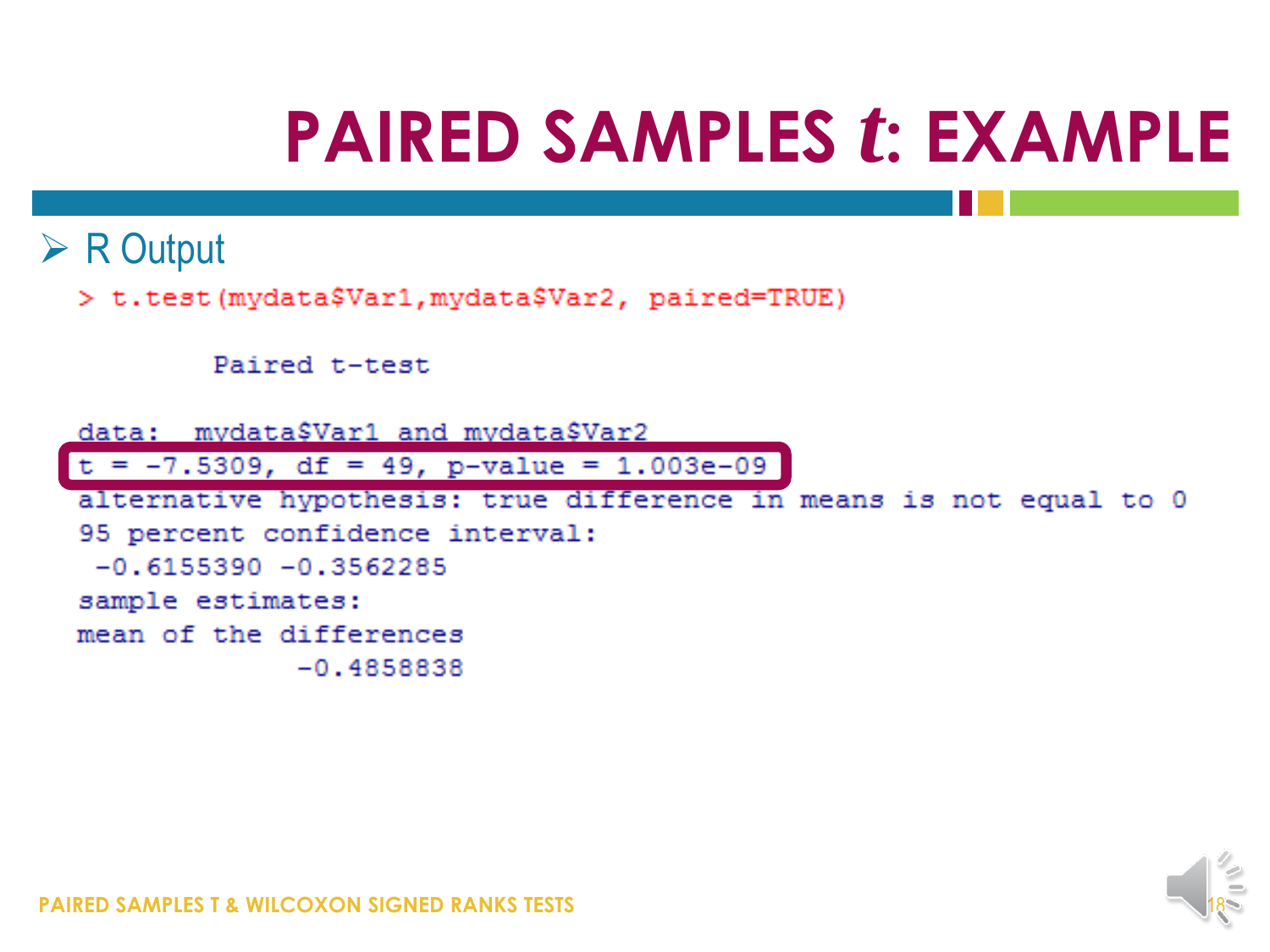### $\triangleright$  R Output

> t.test(mydata\$Var1, mydata\$Var2, paired=TRUE)

```
Paired t-test
```
data: mydata\$Var1 and mydata\$Var2

 $t = -7.5309$ , df = 49, p-value = 1.003e-09

alternative hypothesis: true difference in means is not equal to 0 95 percent confidence interval:  $-0.6155390 - 0.3562285$ sample estimates: mean of the differences  $-0.4858838$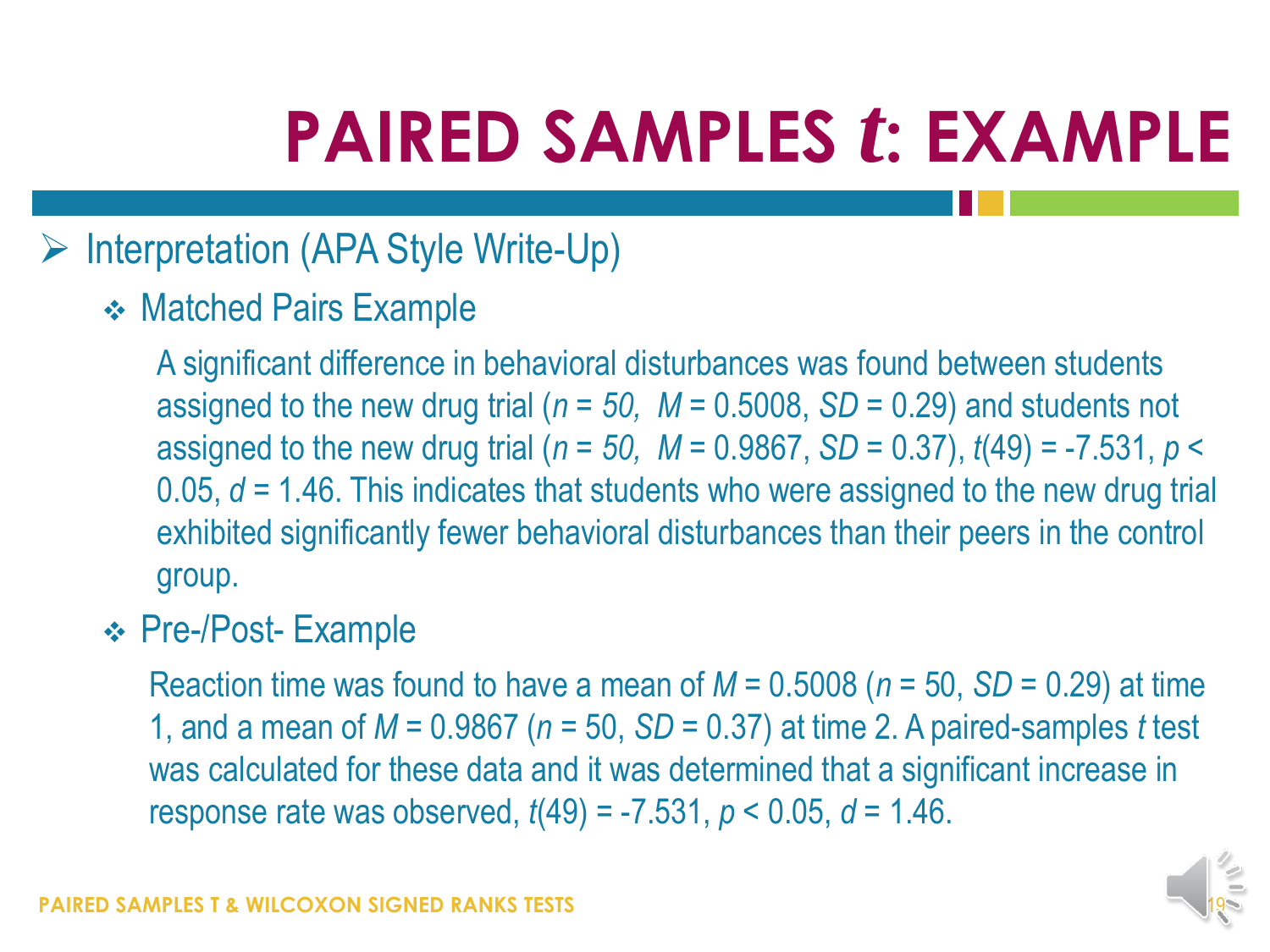### $\triangleright$  Interpretation (APA Style Write-Up)

**❖ Matched Pairs Example** 

A significant difference in behavioral disturbances was found between students assigned to the new drug trial (*n = 50, M* = 0.5008, *SD* = 0.29) and students not assigned to the new drug trial ( $n = 50$ ,  $M = 0.9867$ ,  $SD = 0.37$ ),  $t(49) = -7.531$ ,  $p <$ 0.05, *d* = 1.46. This indicates that students who were assigned to the new drug trial exhibited significantly fewer behavioral disturbances than their peers in the control group.

### Pre-/Post- Example

Reaction time was found to have a mean of *M* = 0.5008 (*n* = 50, *SD* = 0.29) at time 1, and a mean of *M* = 0.9867 (*n* = 50, *SD* = 0.37) at time 2. A paired-samples *t* test was calculated for these data and it was determined that a significant increase in response rate was observed, *t*(49) = -7.531, *p* < 0.05, *d* = 1.46.

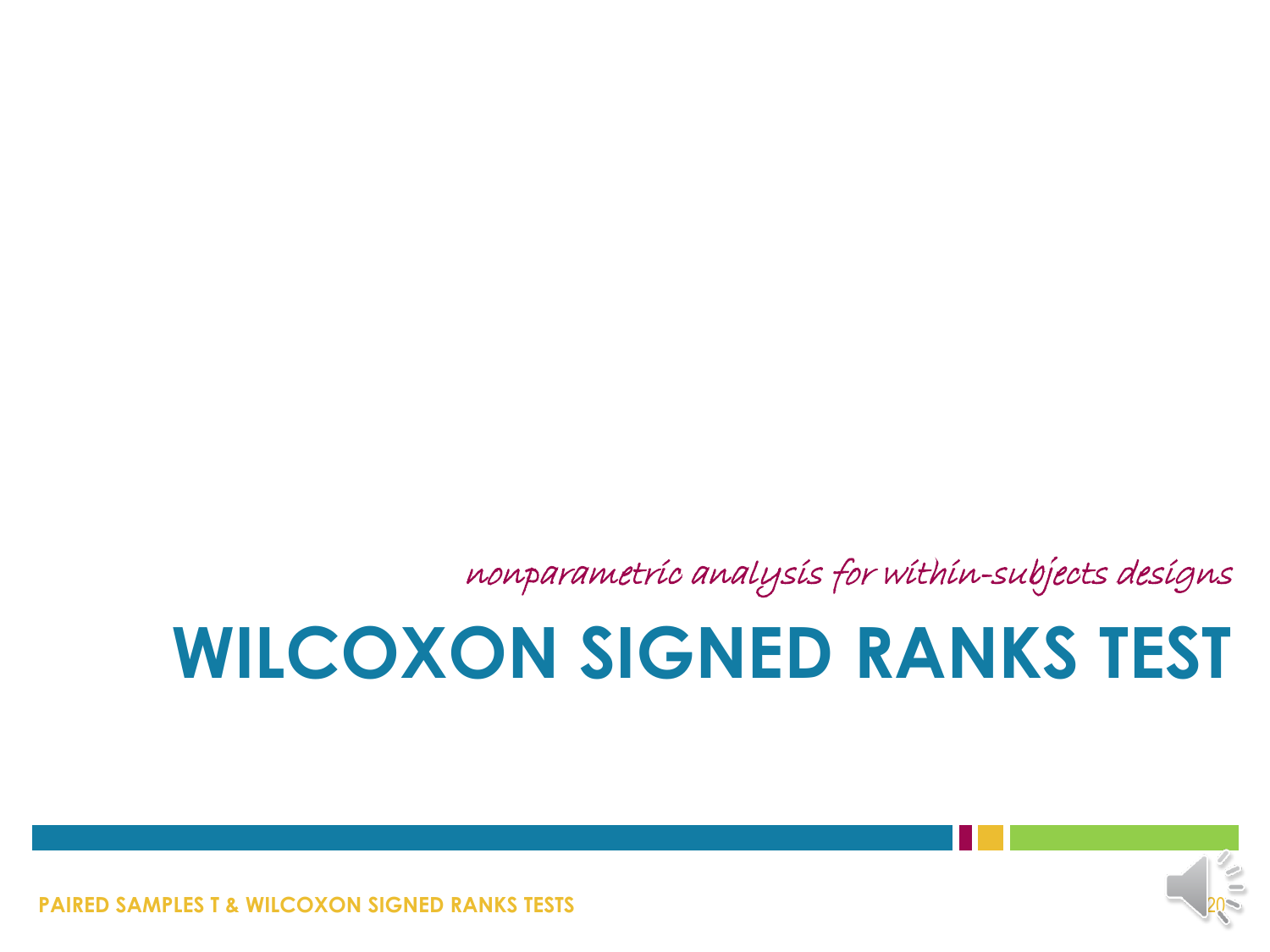**PAIRED SAMPLES T & WILCOXON SIGNED RANKS TESTS** 



## **WILCOXON SIGNED RANKS TEST**

nonparametric analysis for within-subjects designs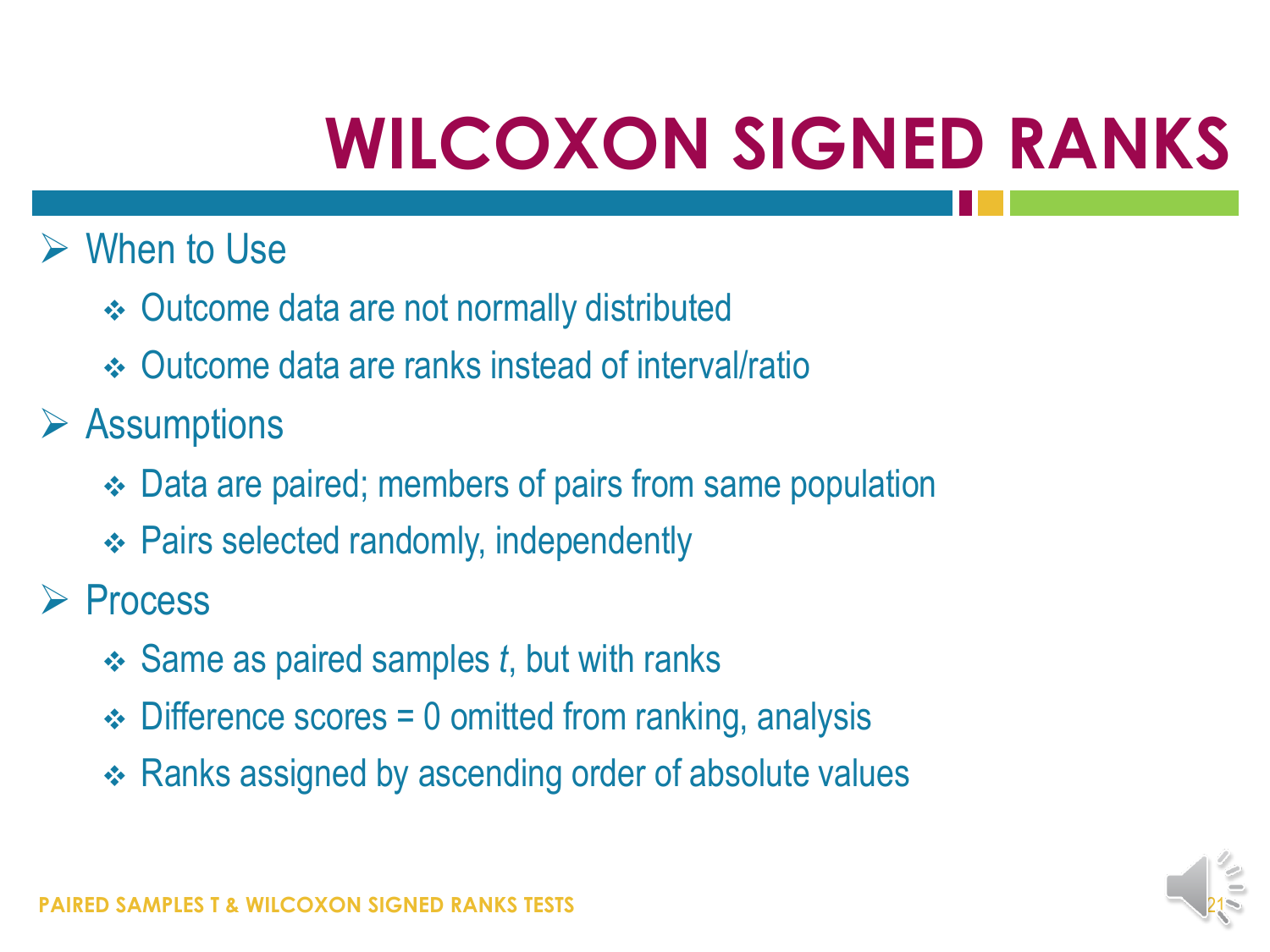### $\triangleright$  When to Use

- Outcome data are not normally distributed
- Outcome data are ranks instead of interval/ratio

 $\triangleright$  Assumptions

- Data are paired; members of pairs from same population
- Pairs selected randomly, independently

 $\triangleright$  Process

- Same as paired samples *t*, but with ranks
- $\div$  Difference scores = 0 omitted from ranking, analysis
- ❖ Ranks assigned by ascending order of absolute values

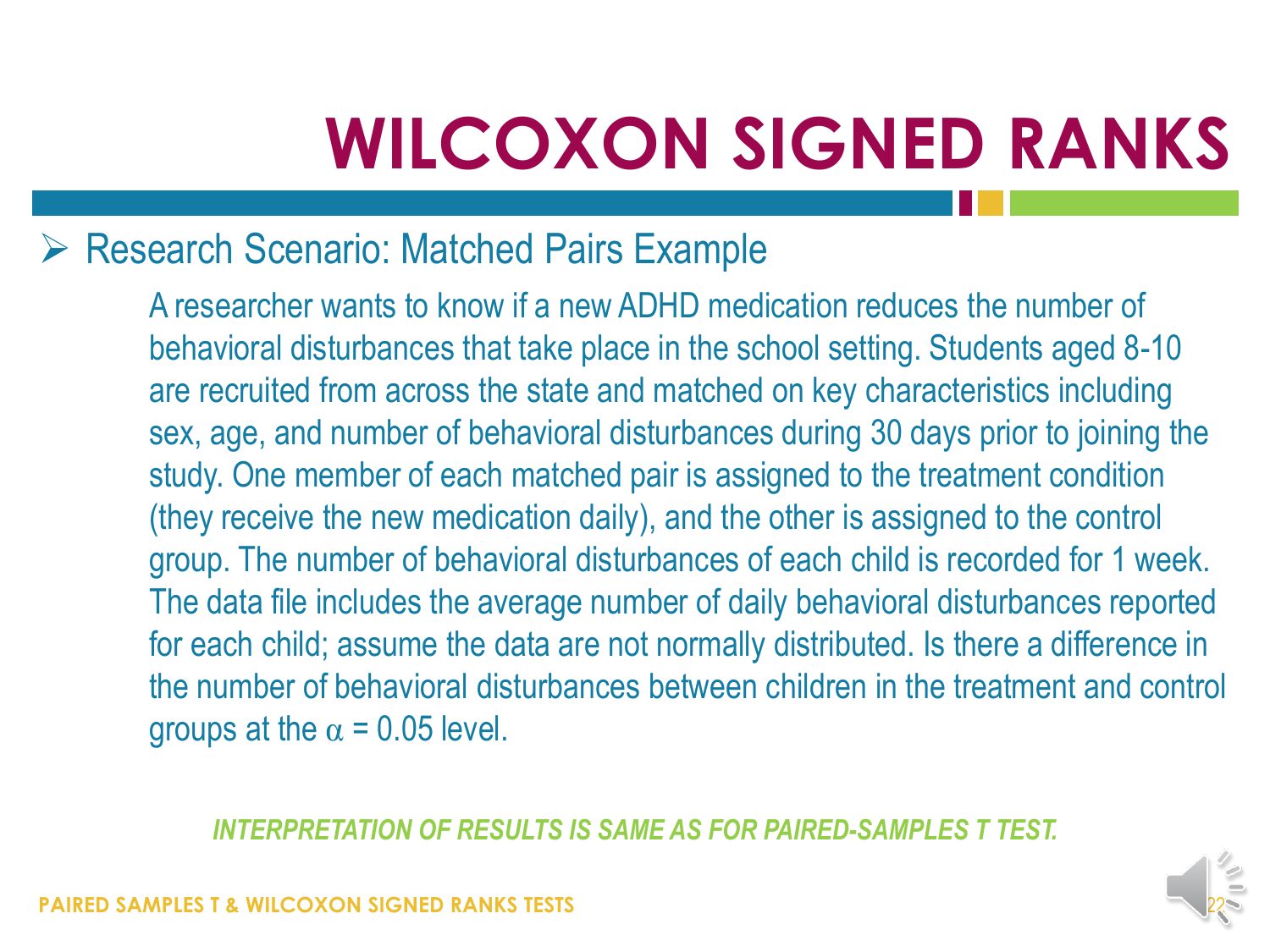### Research Scenario: Matched Pairs Example

A researcher wants to know if a new ADHD medication reduces the number of behavioral disturbances that take place in the school setting. Students aged 8-10 are recruited from across the state and matched on key characteristics including sex, age, and number of behavioral disturbances during 30 days prior to joining the study. One member of each matched pair is assigned to the treatment condition (they receive the new medication daily), and the other is assigned to the control group. The number of behavioral disturbances of each child is recorded for 1 week. The data file includes the average number of daily behavioral disturbances reported for each child; assume the data are not normally distributed. Is there a difference in the number of behavioral disturbances between children in the treatment and control groups at the  $\alpha$  = 0.05 level.

*INTERPRETATION OF RESULTS IS SAME AS FOR PAIRED-SAMPLES T TEST.*

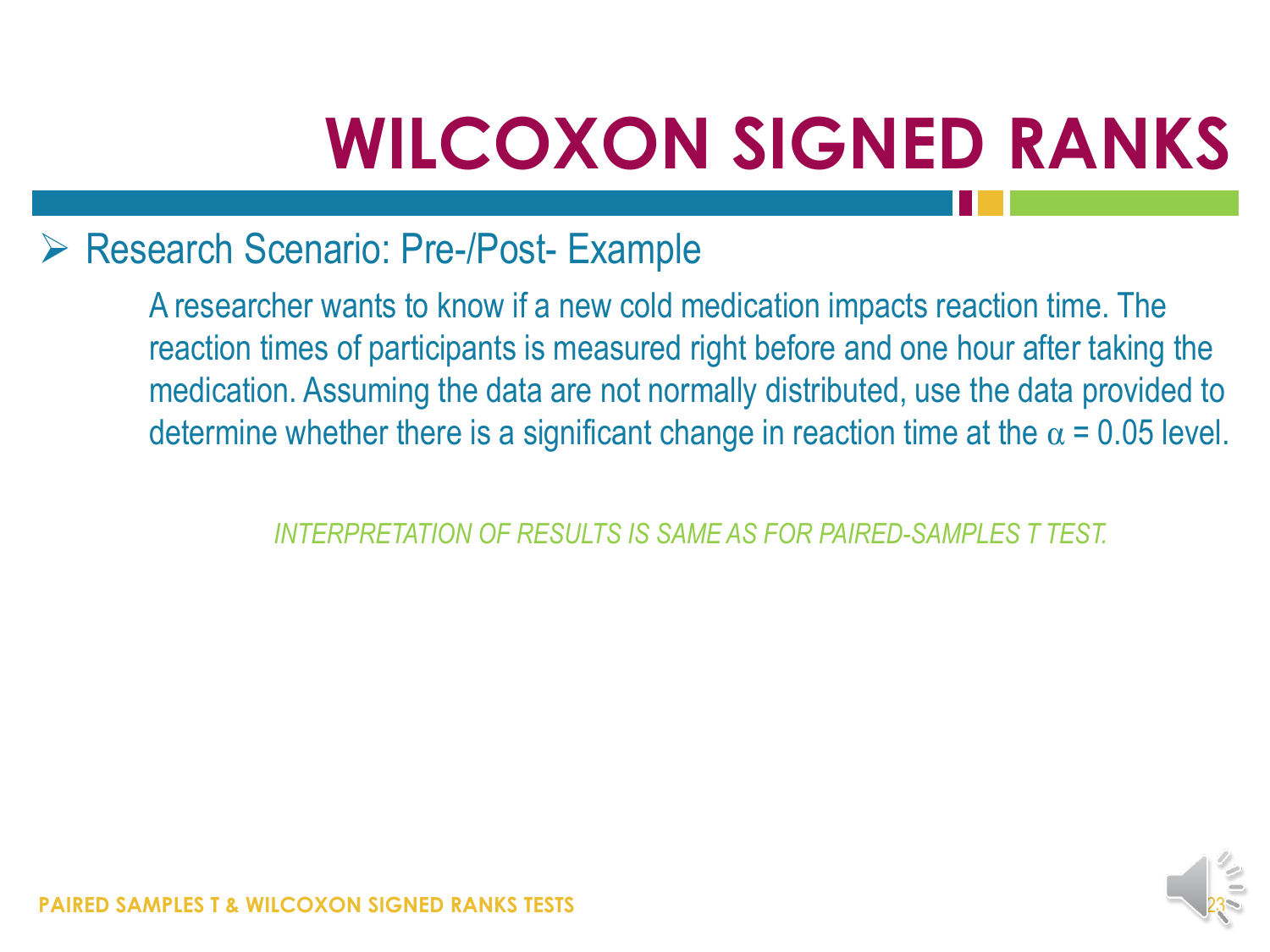### ▶ Research Scenario: Pre-/Post- Example

A researcher wants to know if a new cold medication impacts reaction time. The reaction times of participants is measured right before and one hour after taking the medication. Assuming the data are not normally distributed, use the data provided to determine whether there is a significant change in reaction time at the  $\alpha$  = 0.05 level.

*INTERPRETATION OF RESULTS IS SAME AS FOR PAIRED-SAMPLES T TEST.*



**RED SAMPLES T & WILCOXON SIGNED RANKS TESTS**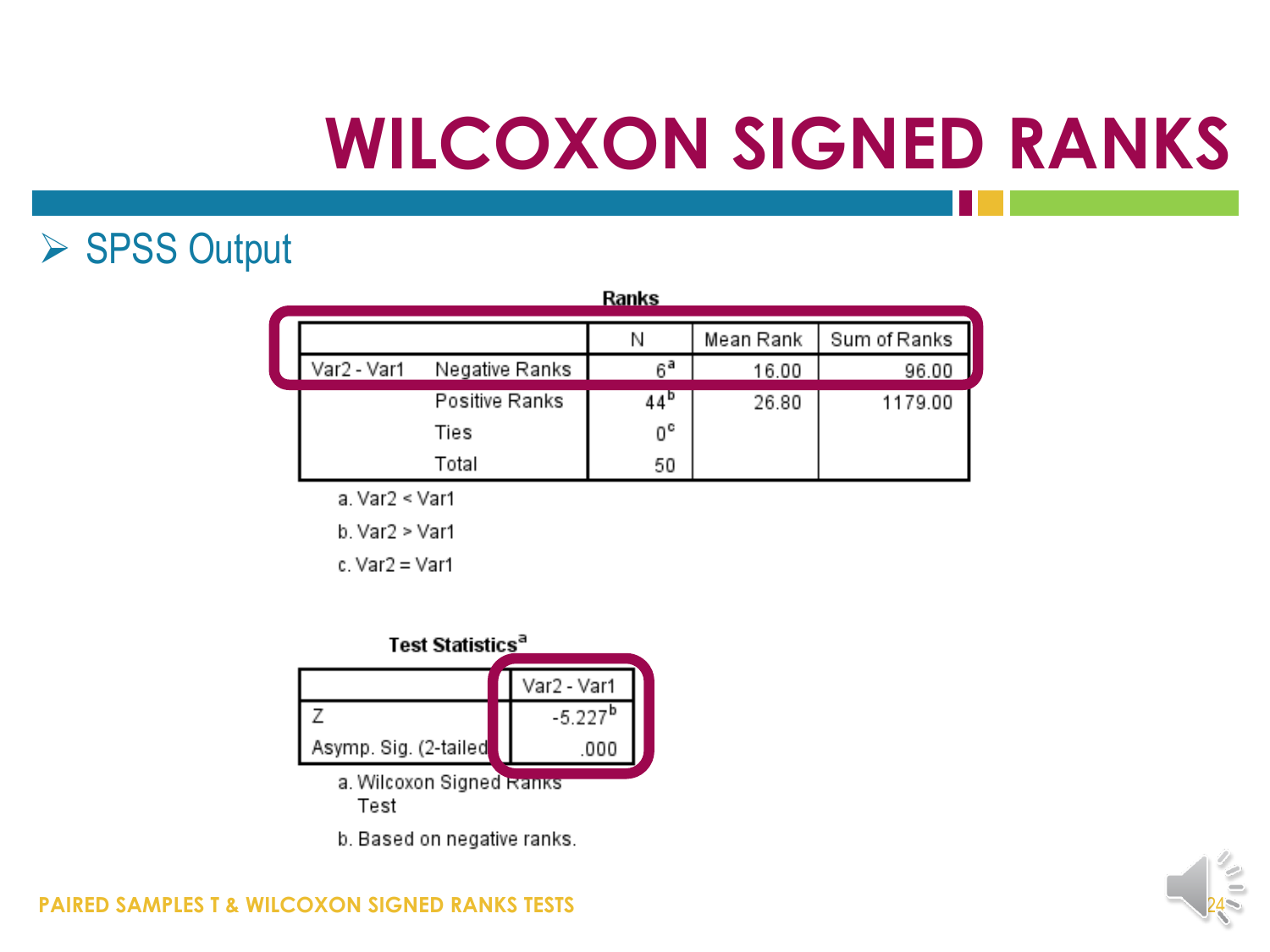### ▶ SPSS Output

| Ranks       |                |    |           |              |  |  |
|-------------|----------------|----|-----------|--------------|--|--|
|             |                | Ν  | Mean Rank | Sum of Ranks |  |  |
| Var2 - Var1 | Negative Ranks | ۵a | 16.00     | 96.00        |  |  |
|             | Positive Ranks | 44 | 26.80     | 1179.00      |  |  |
|             | Ties           | 0° |           |              |  |  |
|             | Total          | 50 |           |              |  |  |

a. Var2 < Var1

b. Var2 > Var1

 $c. Var2 = Var1$ 



b. Based on negative ranks.

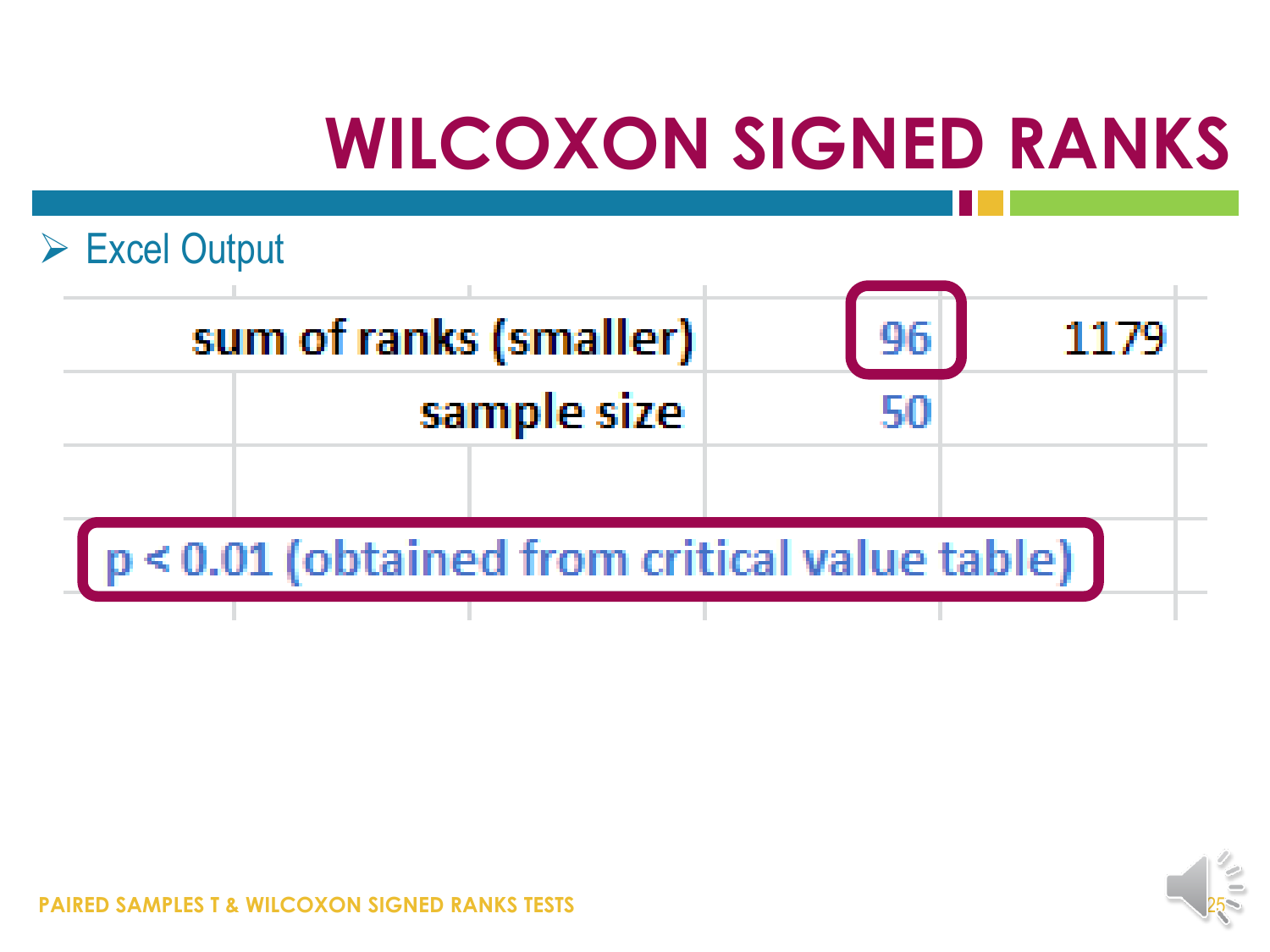

|                                               | sum of ranks (smaller) |  |  | 1179 |  |  |
|-----------------------------------------------|------------------------|--|--|------|--|--|
|                                               | sample size            |  |  |      |  |  |
|                                               |                        |  |  |      |  |  |
| p < 0.01 (obtained from critical value table) |                        |  |  |      |  |  |
|                                               |                        |  |  |      |  |  |



**PAIRED SAMPLES T & WILCOXON SIGNED RANKS TESTS**